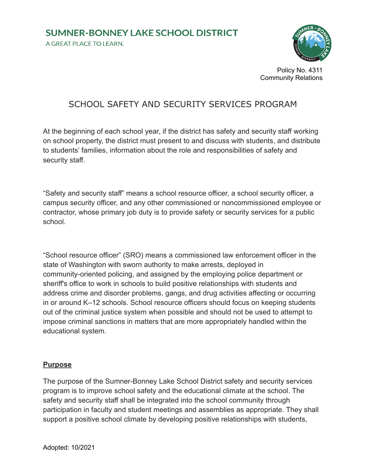A GREAT PLACE TO LEARN.



Policy No. 4311 Community Relations

## SCHOOL SAFETY AND SECURITY SERVICES PROGRAM

At the beginning of each school year, if the district has safety and security staff working on school property, the district must present to and discuss with students, and distribute to students' families, information about the role and responsibilities of safety and security staff.

"Safety and security staff" means a school resource officer, a school security officer, a campus security officer, and any other commissioned or noncommissioned employee or contractor, whose primary job duty is to provide safety or security services for a public school.

"School resource officer" (SRO) means a commissioned law enforcement officer in the state of Washington with sworn authority to make arrests, deployed in community-oriented policing, and assigned by the employing police department or sheriff's office to work in schools to build positive relationships with students and address crime and disorder problems, gangs, and drug activities affecting or occurring in or around K–12 schools. School resource officers should focus on keeping students out of the criminal justice system when possible and should not be used to attempt to impose criminal sanctions in matters that are more appropriately handled within the educational system.

#### **Purpose**

The purpose of the Sumner-Bonney Lake School District safety and security services program is to improve school safety and the educational climate at the school. The safety and security staff shall be integrated into the school community through participation in faculty and student meetings and assemblies as appropriate. They shall support a positive school climate by developing positive relationships with students,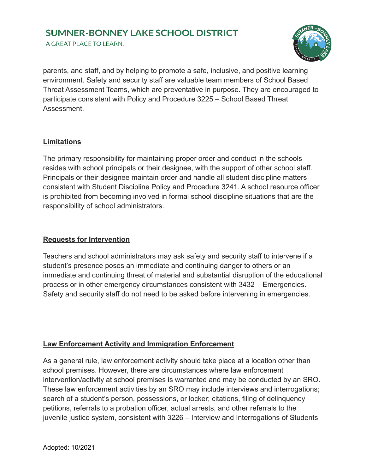A GREAT PLACE TO LEARN.



parents, and staff, and by helping to promote a safe, inclusive, and positive learning environment. Safety and security staff are valuable team members of School Based Threat Assessment Teams, which are preventative in purpose. They are encouraged to participate consistent with Policy and Procedure 3225 – School Based Threat **Assessment** 

#### **Limitations**

The primary responsibility for maintaining proper order and conduct in the schools resides with school principals or their designee, with the support of other school staff. Principals or their designee maintain order and handle all student discipline matters consistent with Student Discipline Policy and Procedure 3241. A school resource officer is prohibited from becoming involved in formal school discipline situations that are the responsibility of school administrators.

#### **Requests for Intervention**

Teachers and school administrators may ask safety and security staff to intervene if a student's presence poses an immediate and continuing danger to others or an immediate and continuing threat of material and substantial disruption of the educational process or in other emergency circumstances consistent with 3432 – Emergencies. Safety and security staff do not need to be asked before intervening in emergencies.

#### **Law Enforcement Activity and Immigration Enforcement**

As a general rule, law enforcement activity should take place at a location other than school premises. However, there are circumstances where law enforcement intervention/activity at school premises is warranted and may be conducted by an SRO. These law enforcement activities by an SRO may include interviews and interrogations; search of a student's person, possessions, or locker; citations, filing of delinquency petitions, referrals to a probation officer, actual arrests, and other referrals to the juvenile justice system, consistent with 3226 – Interview and Interrogations of Students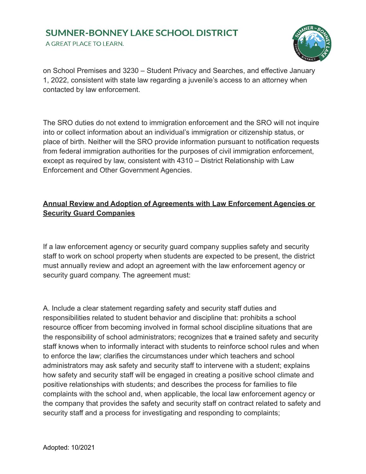A GREAT PLACE TO LEARN.



on School Premises and 3230 – Student Privacy and Searches, and effective January 1, 2022, consistent with state law regarding a juvenile's access to an attorney when contacted by law enforcement.

The SRO duties do not extend to immigration enforcement and the SRO will not inquire into or collect information about an individual's immigration or citizenship status, or place of birth. Neither will the SRO provide information pursuant to notification requests from federal immigration authorities for the purposes of civil immigration enforcement, except as required by law, consistent with 4310 – District Relationship with Law Enforcement and Other Government Agencies.

### **Annual Review and Adoption of Agreements with Law Enforcement Agencies or Security Guard Companies**

If a law enforcement agency or security guard company supplies safety and security staff to work on school property when students are expected to be present, the district must annually review and adopt an agreement with the law enforcement agency or security guard company. The agreement must:

A. Include a clear statement regarding safety and security staff duties and responsibilities related to student behavior and discipline that: prohibits a school resource officer from becoming involved in formal school discipline situations that are the responsibility of school administrators; recognizes that a trained safety and security staff knows when to informally interact with students to reinforce school rules and when to enforce the law; clarifies the circumstances under which teachers and school administrators may ask safety and security staff to intervene with a student; explains how safety and security staff will be engaged in creating a positive school climate and positive relationships with students; and describes the process for families to file complaints with the school and, when applicable, the local law enforcement agency or the company that provides the safety and security staff on contract related to safety and security staff and a process for investigating and responding to complaints;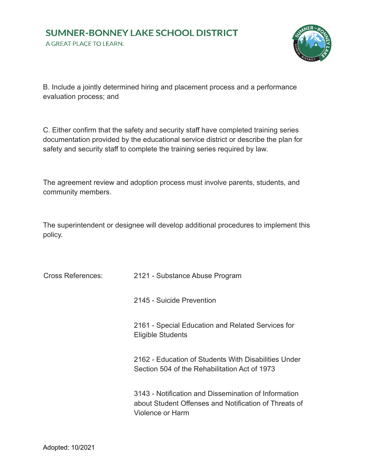A GREAT PLACE TO LEARN.



B. Include a jointly determined hiring and placement process and a performance evaluation process; and

C. Either confirm that the safety and security staff have completed training series documentation provided by the educational service district or describe the plan for safety and security staff to complete the training series required by law.

The agreement review and adoption process must involve parents, students, and community members.

The superintendent or designee will develop additional procedures to implement this policy.

| <b>Cross References:</b> | 2121 - Substance Abuse Program                                                                                                    |
|--------------------------|-----------------------------------------------------------------------------------------------------------------------------------|
|                          | 2145 - Suicide Prevention                                                                                                         |
|                          | 2161 - Special Education and Related Services for<br>Eligible Students                                                            |
|                          | 2162 - Education of Students With Disabilities Under<br>Section 504 of the Rehabilitation Act of 1973                             |
|                          | 3143 - Notification and Dissemination of Information<br>about Student Offenses and Notification of Threats of<br>Violence or Harm |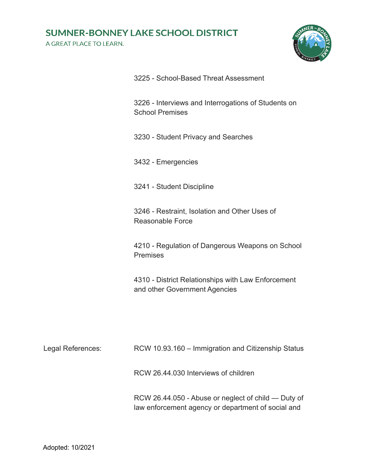A GREAT PLACE TO LEARN.



| 3226 - Interviews and Interrogations of Students on |
|-----------------------------------------------------|
| <b>School Premises</b>                              |

3225 - School-Based Threat Assessment

3230 - Student Privacy and Searches

3432 - Emergencies

3241 - Student Discipline

3246 - Restraint, Isolation and Other Uses of Reasonable Force

4210 - Regulation of Dangerous Weapons on School Premises

4310 - District Relationships with Law Enforcement and other Government Agencies

| Legal References: | RCW 10.93.160 – Immigration and Citizenship Status |
|-------------------|----------------------------------------------------|
|                   | RCW 26.44.030 Interviews of children               |

RCW 26.44.050 - Abuse or neglect of child — Duty of law enforcement agency or department of social and